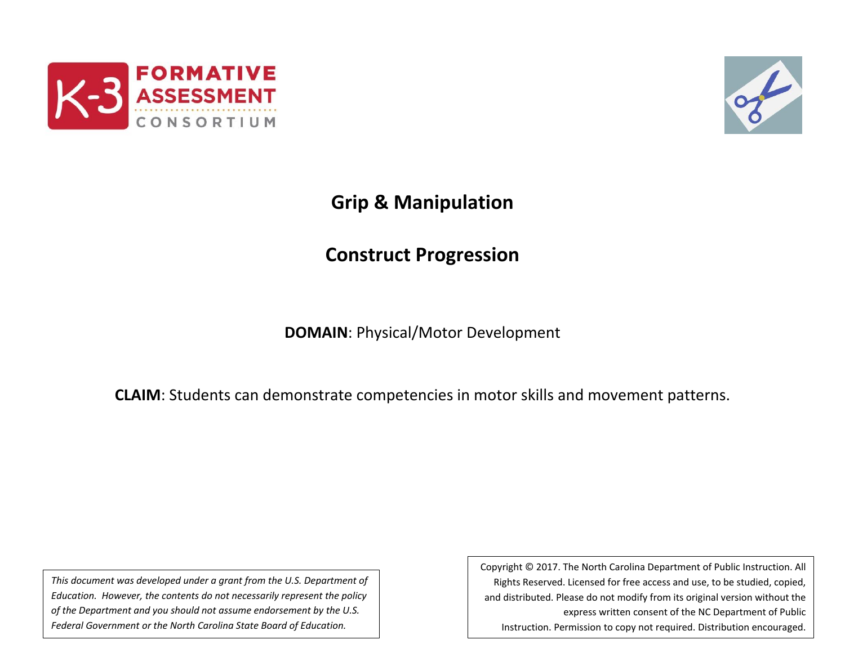



# **Grip & Manipulation**

# **Construct Progression**

**DOMAIN**: Physical/Motor Development

**CLAIM**: Students can demonstrate competencies in motor skills and movement patterns.

*This document was developed under a grant from the U.S. Department of Education. However, the contents do not necessarily represent the policy of the Department and you should not assume endorsement by the U.S. Federal Government or the North Carolina State Board of Education.*

Copyright © 2017. The North Carolina Department of Public Instruction. All Rights Reserved. Licensed for free access and use, to be studied, copied, and distributed. Please do not modify from its original version without the express written consent of the NC Department of Public Instruction. Permission to copy not required. Distribution encouraged.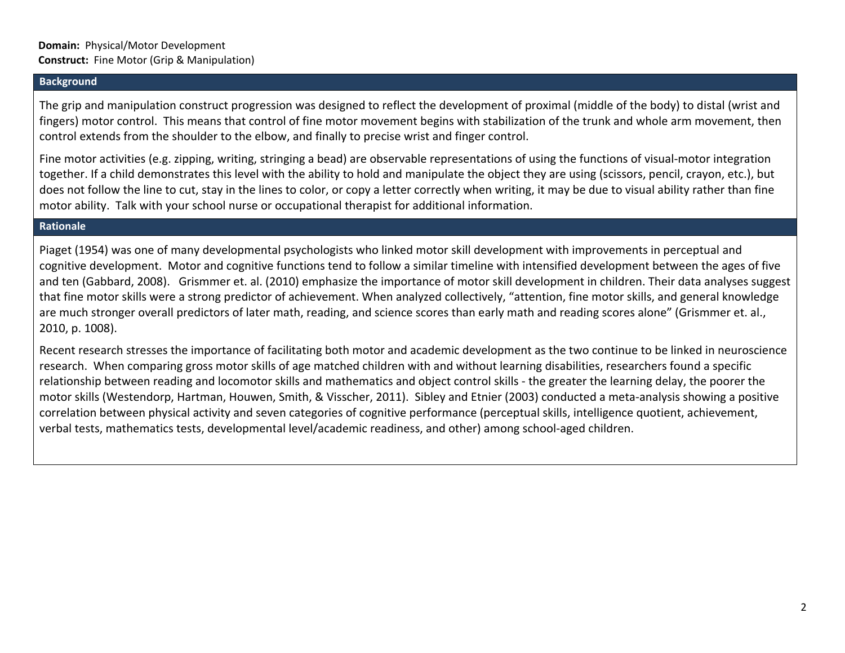### **Background**

The grip and manipulation construct progression was designed to reflect the development of proximal (middle of the body) to distal (wrist and fingers) motor control. This means that control of fine motor movement begins with stabilization of the trunk and whole arm movement, then control extends from the shoulder to the elbow, and finally to precise wrist and finger control.

Fine motor activities (e.g. zipping, writing, stringing a bead) are observable representations of using the functions of visual-motor integration together. If a child demonstrates this level with the ability to hold and manipulate the object they are using (scissors, pencil, crayon, etc.), but does not follow the line to cut, stay in the lines to color, or copy a letter correctly when writing, it may be due to visual ability rather than fine motor ability. Talk with your school nurse or occupational therapist for additional information.

#### **Rationale**

Piaget (1954) was one of many developmental psychologists who linked motor skill development with improvements in perceptual and cognitive development. Motor and cognitive functions tend to follow a similar timeline with intensified development between the ages of five and ten (Gabbard, 2008). Grismmer et. al. (2010) emphasize the importance of motor skill development in children. Their data analyses suggest that fine motor skills were a strong predictor of achievement. When analyzed collectively, "attention, fine motor skills, and general knowledge are much stronger overall predictors of later math, reading, and science scores than early math and reading scores alone" (Grismmer et. al., 2010, p. 1008).

Recent research stresses the importance of facilitating both motor and academic development as the two continue to be linked in neuroscience research. When comparing gross motor skills of age matched children with and without learning disabilities, researchers found a specific relationship between reading and locomotor skills and mathematics and object control skills - the greater the learning delay, the poorer the motor skills (Westendorp, Hartman, Houwen, Smith, & Visscher, 2011). Sibley and Etnier (2003) conducted a meta-analysis showing a positive correlation between physical activity and seven categories of cognitive performance (perceptual skills, intelligence quotient, achievement, verbal tests, mathematics tests, developmental level/academic readiness, and other) among school-aged children.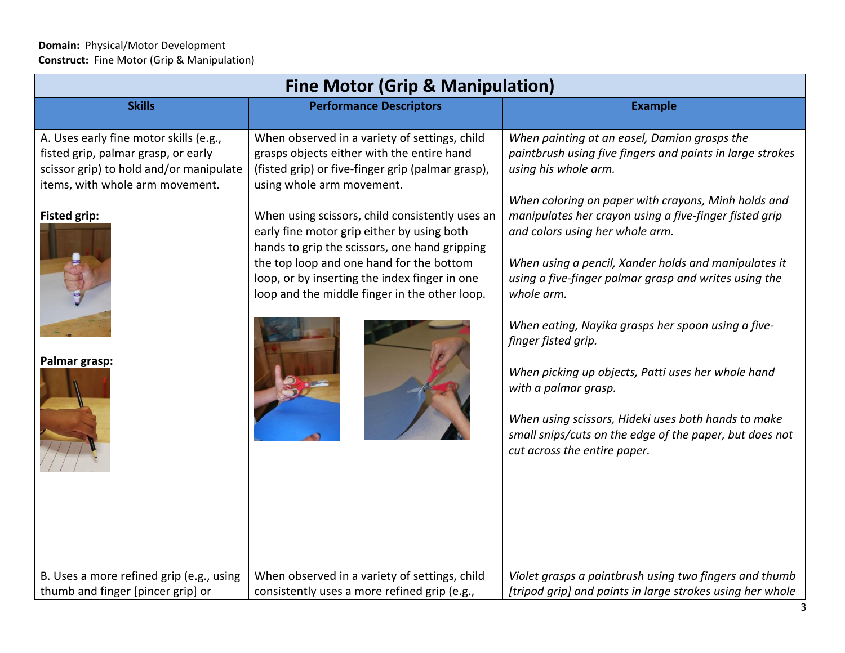| <b>Fine Motor (Grip &amp; Manipulation)</b>                                                                                                                                        |                                                                                                                                                                                                                                           |                                                                                                                                                                                                                                                    |  |  |
|------------------------------------------------------------------------------------------------------------------------------------------------------------------------------------|-------------------------------------------------------------------------------------------------------------------------------------------------------------------------------------------------------------------------------------------|----------------------------------------------------------------------------------------------------------------------------------------------------------------------------------------------------------------------------------------------------|--|--|
| <b>Skills</b>                                                                                                                                                                      | <b>Performance Descriptors</b>                                                                                                                                                                                                            | <b>Example</b>                                                                                                                                                                                                                                     |  |  |
| A. Uses early fine motor skills (e.g.,<br>fisted grip, palmar grasp, or early<br>scissor grip) to hold and/or manipulate<br>items, with whole arm movement.<br><b>Fisted grip:</b> | When observed in a variety of settings, child<br>grasps objects either with the entire hand<br>(fisted grip) or five-finger grip (palmar grasp),<br>using whole arm movement.<br>When using scissors, child consistently uses an          | When painting at an easel, Damion grasps the<br>paintbrush using five fingers and paints in large strokes<br>using his whole arm.<br>When coloring on paper with crayons, Minh holds and<br>manipulates her crayon using a five-finger fisted grip |  |  |
|                                                                                                                                                                                    | early fine motor grip either by using both<br>hands to grip the scissors, one hand gripping<br>the top loop and one hand for the bottom<br>loop, or by inserting the index finger in one<br>loop and the middle finger in the other loop. | and colors using her whole arm.<br>When using a pencil, Xander holds and manipulates it<br>using a five-finger palmar grasp and writes using the<br>whole arm.<br>When eating, Nayika grasps her spoon using a five-                               |  |  |
| Palmar grasp:                                                                                                                                                                      |                                                                                                                                                                                                                                           | finger fisted grip.<br>When picking up objects, Patti uses her whole hand<br>with a palmar grasp.                                                                                                                                                  |  |  |
|                                                                                                                                                                                    |                                                                                                                                                                                                                                           | When using scissors, Hideki uses both hands to make<br>small snips/cuts on the edge of the paper, but does not<br>cut across the entire paper.                                                                                                     |  |  |
| B. Uses a more refined grip (e.g., using<br>thumb and finger [pincer grip] or                                                                                                      | When observed in a variety of settings, child<br>consistently uses a more refined grip (e.g.,                                                                                                                                             | Violet grasps a paintbrush using two fingers and thumb<br>[tripod grip] and paints in large strokes using her whole                                                                                                                                |  |  |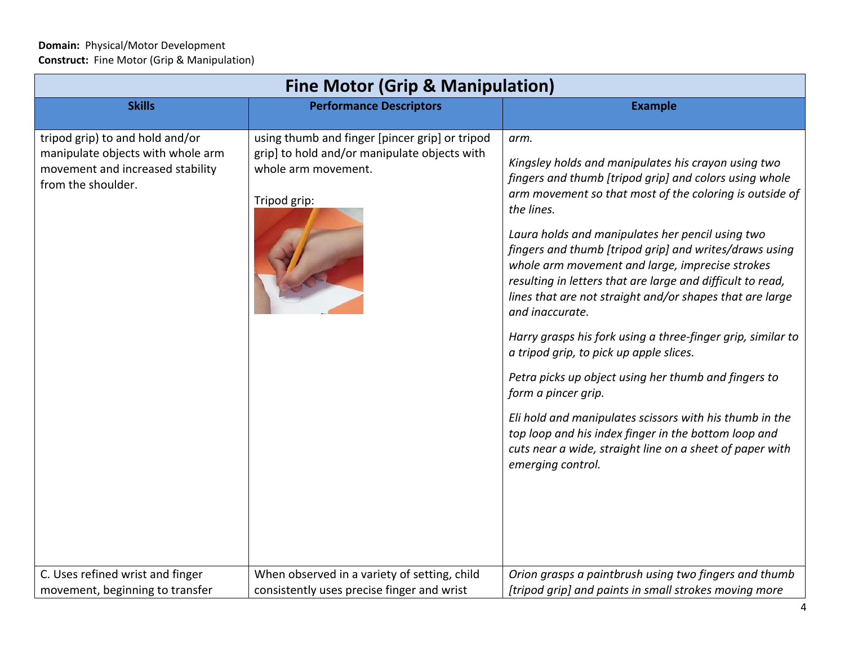| <b>Fine Motor (Grip &amp; Manipulation)</b>                                                                                    |                                                                                                                                       |                                                                                                                                                                                                                                                                                                                                                                                                                                                                                                                                                                                                                                                                                                                                                                                                                                                                                                           |  |  |
|--------------------------------------------------------------------------------------------------------------------------------|---------------------------------------------------------------------------------------------------------------------------------------|-----------------------------------------------------------------------------------------------------------------------------------------------------------------------------------------------------------------------------------------------------------------------------------------------------------------------------------------------------------------------------------------------------------------------------------------------------------------------------------------------------------------------------------------------------------------------------------------------------------------------------------------------------------------------------------------------------------------------------------------------------------------------------------------------------------------------------------------------------------------------------------------------------------|--|--|
| <b>Skills</b>                                                                                                                  | <b>Performance Descriptors</b>                                                                                                        | <b>Example</b>                                                                                                                                                                                                                                                                                                                                                                                                                                                                                                                                                                                                                                                                                                                                                                                                                                                                                            |  |  |
| tripod grip) to and hold and/or<br>manipulate objects with whole arm<br>movement and increased stability<br>from the shoulder. | using thumb and finger [pincer grip] or tripod<br>grip] to hold and/or manipulate objects with<br>whole arm movement.<br>Tripod grip: | arm.<br>Kingsley holds and manipulates his crayon using two<br>fingers and thumb [tripod grip] and colors using whole<br>arm movement so that most of the coloring is outside of<br>the lines.<br>Laura holds and manipulates her pencil using two<br>fingers and thumb [tripod grip] and writes/draws using<br>whole arm movement and large, imprecise strokes<br>resulting in letters that are large and difficult to read,<br>lines that are not straight and/or shapes that are large<br>and inaccurate.<br>Harry grasps his fork using a three-finger grip, similar to<br>a tripod grip, to pick up apple slices.<br>Petra picks up object using her thumb and fingers to<br>form a pincer grip.<br>Eli hold and manipulates scissors with his thumb in the<br>top loop and his index finger in the bottom loop and<br>cuts near a wide, straight line on a sheet of paper with<br>emerging control. |  |  |
| C. Uses refined wrist and finger<br>movement, beginning to transfer                                                            | When observed in a variety of setting, child<br>consistently uses precise finger and wrist                                            | Orion grasps a paintbrush using two fingers and thumb<br>[tripod grip] and paints in small strokes moving more                                                                                                                                                                                                                                                                                                                                                                                                                                                                                                                                                                                                                                                                                                                                                                                            |  |  |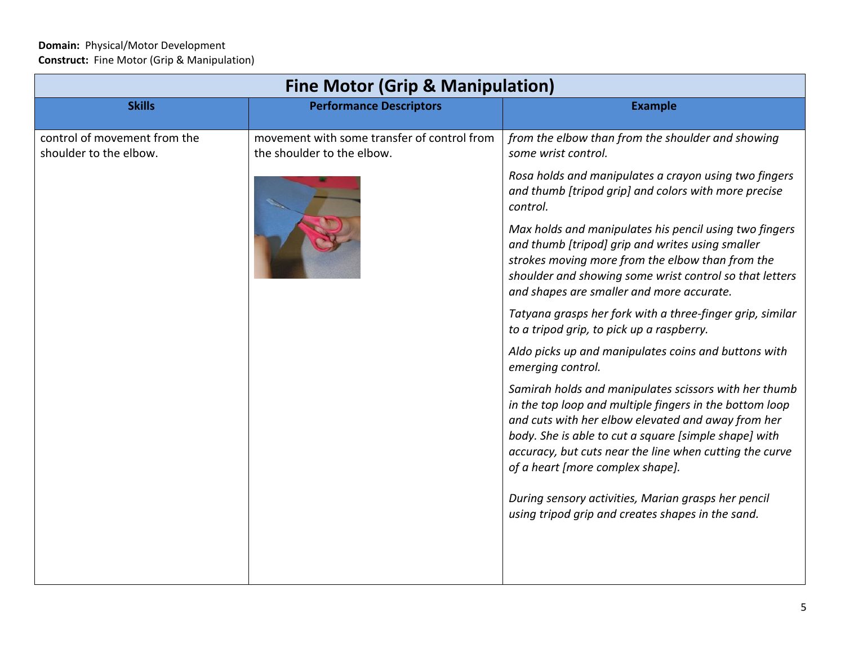$\blacksquare$ 

| <b>Fine Motor (Grip &amp; Manipulation)</b>            |                                                                           |                                                                                                                                                                                                                                                                                                                                |  |  |
|--------------------------------------------------------|---------------------------------------------------------------------------|--------------------------------------------------------------------------------------------------------------------------------------------------------------------------------------------------------------------------------------------------------------------------------------------------------------------------------|--|--|
| <b>Skills</b>                                          | <b>Performance Descriptors</b>                                            | <b>Example</b>                                                                                                                                                                                                                                                                                                                 |  |  |
| control of movement from the<br>shoulder to the elbow. | movement with some transfer of control from<br>the shoulder to the elbow. | from the elbow than from the shoulder and showing<br>some wrist control.                                                                                                                                                                                                                                                       |  |  |
|                                                        |                                                                           | Rosa holds and manipulates a crayon using two fingers<br>and thumb [tripod grip] and colors with more precise<br>control.                                                                                                                                                                                                      |  |  |
|                                                        |                                                                           | Max holds and manipulates his pencil using two fingers<br>and thumb [tripod] grip and writes using smaller<br>strokes moving more from the elbow than from the<br>shoulder and showing some wrist control so that letters<br>and shapes are smaller and more accurate.                                                         |  |  |
|                                                        |                                                                           | Tatyana grasps her fork with a three-finger grip, similar<br>to a tripod grip, to pick up a raspberry.                                                                                                                                                                                                                         |  |  |
|                                                        |                                                                           | Aldo picks up and manipulates coins and buttons with<br>emerging control.                                                                                                                                                                                                                                                      |  |  |
|                                                        |                                                                           | Samirah holds and manipulates scissors with her thumb<br>in the top loop and multiple fingers in the bottom loop<br>and cuts with her elbow elevated and away from her<br>body. She is able to cut a square [simple shape] with<br>accuracy, but cuts near the line when cutting the curve<br>of a heart [more complex shape]. |  |  |
|                                                        |                                                                           | During sensory activities, Marian grasps her pencil<br>using tripod grip and creates shapes in the sand.                                                                                                                                                                                                                       |  |  |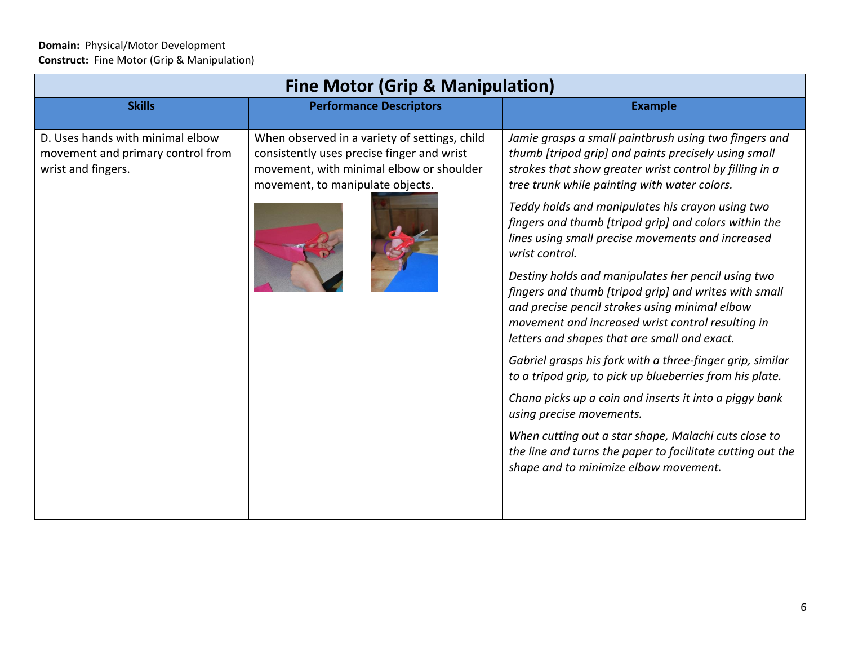| <b>Fine Motor (Grip &amp; Manipulation)</b>                                                 |                                                                                                                                                                             |                                                                                                                                                                                                                                                                    |  |  |
|---------------------------------------------------------------------------------------------|-----------------------------------------------------------------------------------------------------------------------------------------------------------------------------|--------------------------------------------------------------------------------------------------------------------------------------------------------------------------------------------------------------------------------------------------------------------|--|--|
| <b>Skills</b>                                                                               | <b>Performance Descriptors</b>                                                                                                                                              | <b>Example</b>                                                                                                                                                                                                                                                     |  |  |
| D. Uses hands with minimal elbow<br>movement and primary control from<br>wrist and fingers. | When observed in a variety of settings, child<br>consistently uses precise finger and wrist<br>movement, with minimal elbow or shoulder<br>movement, to manipulate objects. | Jamie grasps a small paintbrush using two fingers and<br>thumb [tripod grip] and paints precisely using small<br>strokes that show greater wrist control by filling in a<br>tree trunk while painting with water colors.                                           |  |  |
|                                                                                             |                                                                                                                                                                             | Teddy holds and manipulates his crayon using two<br>fingers and thumb [tripod grip] and colors within the<br>lines using small precise movements and increased<br>wrist control.                                                                                   |  |  |
|                                                                                             |                                                                                                                                                                             | Destiny holds and manipulates her pencil using two<br>fingers and thumb [tripod grip] and writes with small<br>and precise pencil strokes using minimal elbow<br>movement and increased wrist control resulting in<br>letters and shapes that are small and exact. |  |  |
|                                                                                             |                                                                                                                                                                             | Gabriel grasps his fork with a three-finger grip, similar<br>to a tripod grip, to pick up blueberries from his plate.                                                                                                                                              |  |  |
|                                                                                             |                                                                                                                                                                             | Chana picks up a coin and inserts it into a piggy bank<br>using precise movements.                                                                                                                                                                                 |  |  |
|                                                                                             |                                                                                                                                                                             | When cutting out a star shape, Malachi cuts close to<br>the line and turns the paper to facilitate cutting out the<br>shape and to minimize elbow movement.                                                                                                        |  |  |
|                                                                                             |                                                                                                                                                                             |                                                                                                                                                                                                                                                                    |  |  |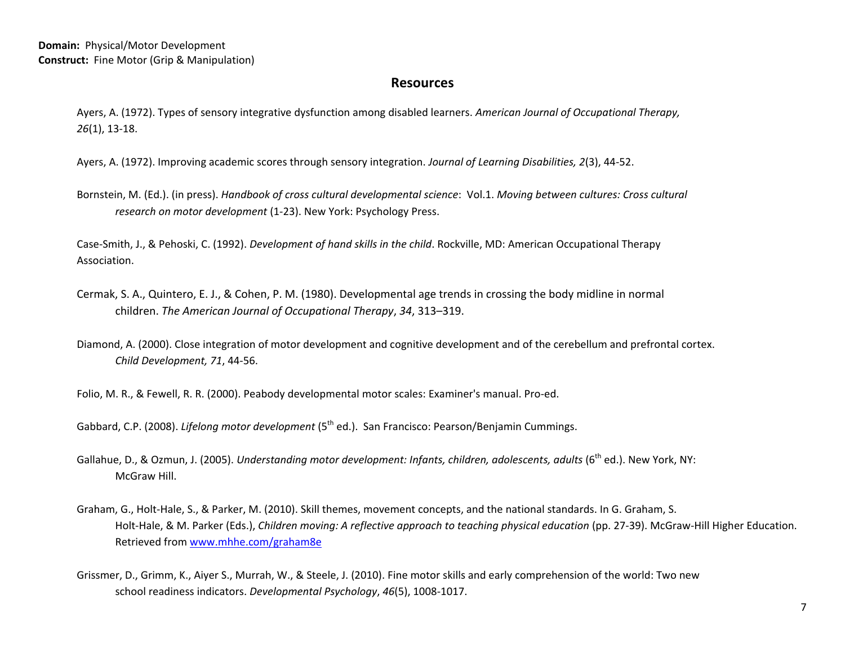## **Resources**

Ayers, A. (1972). Types of sensory integrative dysfunction among disabled learners. *American Journal of Occupational Therapy, 26*(1), 13-18.

Ayers, A. (1972). Improving academic scores through sensory integration. *Journal of Learning Disabilities, 2*(3), 44-52.

Bornstein, M. (Ed.). (in press). *Handbook of cross cultural developmental science*: Vol.1. *Moving between cultures: Cross cultural research on motor development* (1-23). New York: Psychology Press.

Case-Smith, J., & Pehoski, C. (1992). *Development of hand skills in the child*. Rockville, MD: American Occupational Therapy Association.

- Cermak, S. A., Quintero, E. J., & Cohen, P. M. (1980). Developmental age trends in crossing the body midline in normal children. *The American Journal of Occupational Therapy*, *34*, 313–319.
- Diamond, A. (2000). Close integration of motor development and cognitive development and of the cerebellum and prefrontal cortex. *Child Development, 71*, 44-56.

Folio, M. R., & Fewell, R. R. (2000). Peabody developmental motor scales: Examiner's manual. Pro-ed.

Gabbard, C.P. (2008). *Lifelong motor development* (5th ed.). San Francisco: Pearson/Benjamin Cummings.

- Gallahue, D., & Ozmun, J. (2005). *Understanding motor development: Infants, children, adolescents, adults* (6<sup>th</sup> ed.). New York, NY: McGraw Hill.
- Graham, G., Holt-Hale, S., & Parker, M. (2010). Skill themes, movement concepts, and the national standards. In G. Graham, S. Holt-Hale, & M. Parker (Eds.), *Children moving: A reflective approach to teaching physical education* (pp. 27-39). McGraw-Hill Higher Education. Retrieved from [www.mhhe.com/graham8e](http://www.mhhe.com/graham8e)
- Grissmer, D., Grimm, K., Aiyer S., Murrah, W., & Steele, J. (2010). Fine motor skills and early comprehension of the world: Two new school readiness indicators. *Developmental Psychology*, *46*(5), 1008-1017.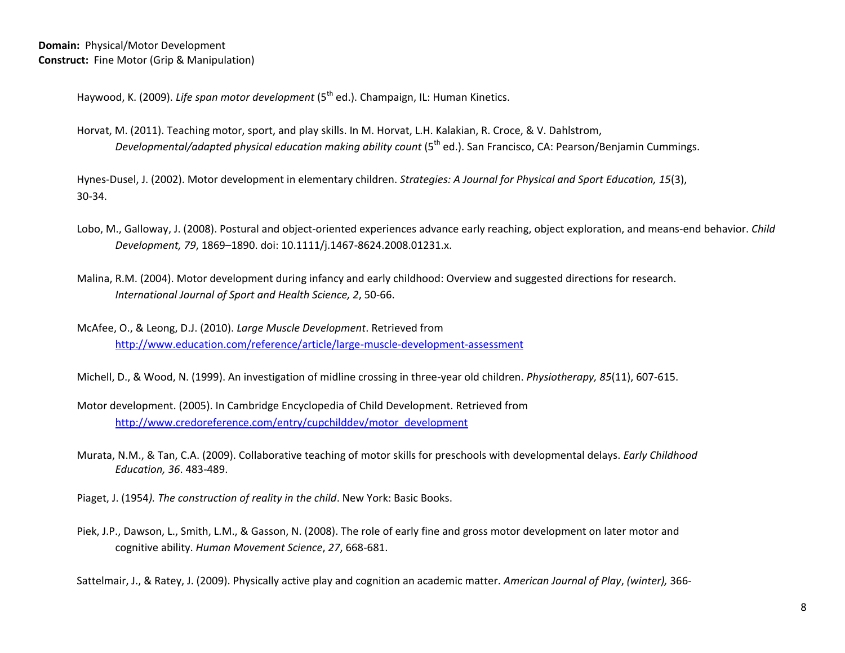Haywood, K. (2009). *Life span motor development* (5<sup>th</sup> ed.). Champaign, IL: Human Kinetics.

Horvat, M. (2011). Teaching motor, sport, and play skills. In M. Horvat, L.H. Kalakian, R. Croce, & V. Dahlstrom, *Developmental/adapted physical education making ability count* (5<sup>th</sup> ed.). San Francisco, CA: Pearson/Benjamin Cummings.

Hynes-Dusel, J. (2002). Motor development in elementary children. *Strategies: A Journal for Physical and Sport Education, 15*(3), 30-34.

- Lobo, M., Galloway, J. (2008). Postural and object-oriented experiences advance early reaching, object exploration, and means-end behavior. *Child Development, 79*, 1869–1890. doi: 10.1111/j.1467-8624.2008.01231.x.
- Malina, R.M. (2004). Motor development during infancy and early childhood: Overview and suggested directions for research. *International Journal of Sport and Health Science, 2*, 50-66.
- McAfee, O., & Leong, D.J. (2010). *Large Muscle Development*. Retrieved from <http://www.education.com/reference/article/large-muscle-development-assessment>
- Michell, D., & Wood, N. (1999). An investigation of midline crossing in three-year old children. *Physiotherapy, 85*(11), 607-615.
- Motor development. (2005). In Cambridge Encyclopedia of Child Development. Retrieved from [http://www.credoreference.com/entry/cupchilddev/motor\\_development](http://www.credoreference.com/entry/cupchilddev/motor_development)
- Murata, N.M., & Tan, C.A. (2009). Collaborative teaching of motor skills for preschools with developmental delays. *Early Childhood Education, 36*. 483-489.
- Piaget, J. (1954*). The construction of reality in the child*. New York: Basic Books.
- Piek, J.P., Dawson, L., Smith, L.M., & Gasson, N. (2008). The role of early fine and gross motor development on later motor and cognitive ability. *Human Movement Science*, *27*, 668-681.

Sattelmair, J., & Ratey, J. (2009). Physically active play and cognition an academic matter. *American Journal of Play*, *(winter),* 366-